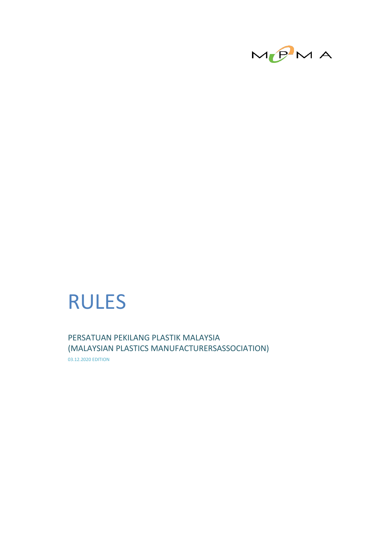

# RULES

PERSATUAN PEKILANG PLASTIK MALAYSIA (MALAYSIAN PLASTICS MANUFACTURERSASSOCIATION) 03.12.2020 EDITION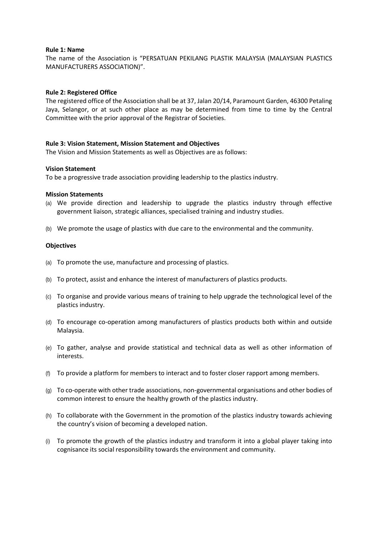#### **Rule 1: Name**

The name of the Association is "PERSATUAN PEKILANG PLASTIK MALAYSIA (MALAYSIAN PLASTICS MANUFACTURERS ASSOCIATION)".

# **Rule 2: Registered Office**

The registered office of the Association shall be at 37, Jalan 20/14, Paramount Garden, 46300 Petaling Jaya, Selangor, or at such other place as may be determined from time to time by the Central Committee with the prior approval of the Registrar of Societies.

#### **Rule 3: Vision Statement, Mission Statement and Objectives**

The Vision and Mission Statements as well as Objectives are as follows:

#### **Vision Statement**

To be a progressive trade association providing leadership to the plastics industry.

#### **Mission Statements**

- (a) We provide direction and leadership to upgrade the plastics industry through effective government liaison, strategic alliances, specialised training and industry studies.
- (b) We promote the usage of plastics with due care to the environmental and the community.

#### **Objectives**

- (a) To promote the use, manufacture and processing of plastics.
- (b) To protect, assist and enhance the interest of manufacturers of plastics products.
- (c) To organise and provide various means of training to help upgrade the technological level of the plastics industry.
- (d) To encourage co-operation among manufacturers of plastics products both within and outside Malaysia.
- (e) To gather, analyse and provide statistical and technical data as well as other information of interests.
- (f) To provide a platform for members to interact and to foster closer rapport among members.
- (g) To co-operate with other trade associations, non-governmental organisations and other bodies of common interest to ensure the healthy growth of the plastics industry.
- (h) To collaborate with the Government in the promotion of the plastics industry towards achieving the country's vision of becoming a developed nation.
- (i) To promote the growth of the plastics industry and transform it into a global player taking into cognisance its social responsibility towards the environment and community.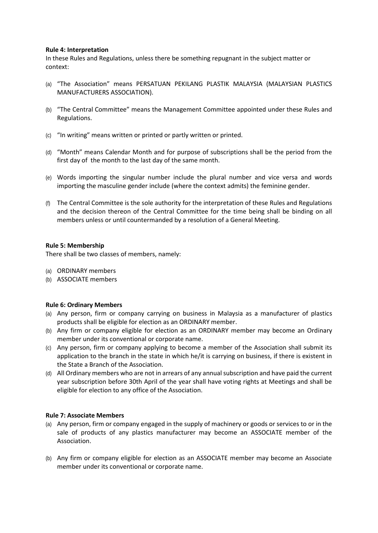## **Rule 4: Interpretation**

In these Rules and Regulations, unless there be something repugnant in the subject matter or context:

- (a) "The Association" means PERSATUAN PEKILANG PLASTIK MALAYSIA (MALAYSIAN PLASTICS MANUFACTURERS ASSOCIATION).
- (b) "The Central Committee" means the Management Committee appointed under these Rules and Regulations.
- (c) "In writing" means written or printed or partly written or printed.
- (d) "Month" means Calendar Month and for purpose of subscriptions shall be the period from the first day of the month to the last day of the same month.
- (e) Words importing the singular number include the plural number and vice versa and words importing the masculine gender include (where the context admits) the feminine gender.
- (f) The Central Committee is the sole authority for the interpretation of these Rules and Regulations and the decision thereon of the Central Committee for the time being shall be binding on all members unless or until countermanded by a resolution of a General Meeting.

#### **Rule 5: Membership**

There shall be two classes of members, namely:

- (a) ORDINARY members
- (b) ASSOCIATE members

# **Rule 6: Ordinary Members**

- (a) Any person, firm or company carrying on business in Malaysia as a manufacturer of plastics products shall be eligible for election as an ORDINARY member.
- (b) Any firm or company eligible for election as an ORDINARY member may become an Ordinary member under its conventional or corporate name.
- (c) Any person, firm or company applying to become a member of the Association shall submit its application to the branch in the state in which he/it is carrying on business, if there is existent in the State a Branch of the Association.
- (d) All Ordinary members who are not in arrears of any annual subscription and have paid the current year subscription before 30th April of the year shall have voting rights at Meetings and shall be eligible for election to any office of the Association.

# **Rule 7: Associate Members**

- (a) Any person, firm or company engaged in the supply of machinery or goods or services to or in the sale of products of any plastics manufacturer may become an ASSOCIATE member of the Association.
- (b) Any firm or company eligible for election as an ASSOCIATE member may become an Associate member under its conventional or corporate name.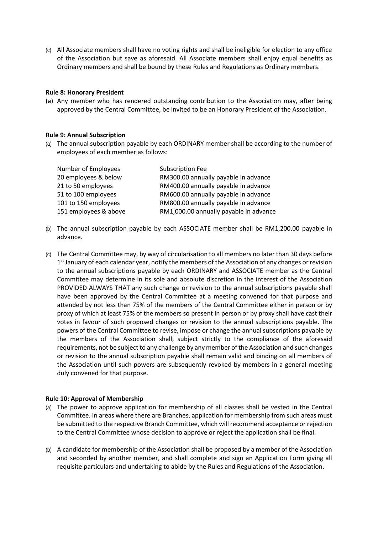(c) All Associate members shall have no voting rights and shall be ineligible for election to any office of the Association but save as aforesaid. All Associate members shall enjoy equal benefits as Ordinary members and shall be bound by these Rules and Regulations as Ordinary members.

# **Rule 8: Honorary President**

(a) Any member who has rendered outstanding contribution to the Association may, after being approved by the Central Committee, be invited to be an Honorary President of the Association.

#### **Rule 9: Annual Subscription**

(a) The annual subscription payable by each ORDINARY member shall be according to the number of employees of each member as follows:

| Number of Employees   | <b>Subscription Fee</b>                |
|-----------------------|----------------------------------------|
| 20 employees & below  | RM300.00 annually payable in advance   |
| 21 to 50 employees    | RM400.00 annually payable in advance   |
| 51 to 100 employees   | RM600.00 annually payable in advance   |
| 101 to 150 employees  | RM800.00 annually payable in advance   |
| 151 employees & above | RM1,000.00 annually payable in advance |

- (b) The annual subscription payable by each ASSOCIATE member shall be RM1,200.00 payable in advance.
- (c) The Central Committee may, by way of circularisation to all members no later than 30 days before 1<sup>st</sup> January of each calendar year, notify the members of the Association of any changes or revision to the annual subscriptions payable by each ORDINARY and ASSOCIATE member as the Central Committee may determine in its sole and absolute discretion in the interest of the Association PROVIDED ALWAYS THAT any such change or revision to the annual subscriptions payable shall have been approved by the Central Committee at a meeting convened for that purpose and attended by not less than 75% of the members of the Central Committee either in person or by proxy of which at least 75% of the members so present in person or by proxy shall have cast their votes in favour of such proposed changes or revision to the annual subscriptions payable. The powers of the Central Committee to revise, impose or change the annual subscriptions payable by the members of the Association shall, subject strictly to the compliance of the aforesaid requirements, not be subject to any challenge by any member of the Association and such changes or revision to the annual subscription payable shall remain valid and binding on all members of the Association until such powers are subsequently revoked by members in a general meeting duly convened for that purpose.

#### **Rule 10: Approval of Membership**

- (a) The power to approve application for membership of all classes shall be vested in the Central Committee. In areas where there are Branches, application for membership from such areas must be submitted to the respective Branch Committee, which will recommend acceptance or rejection to the Central Committee whose decision to approve or reject the application shall be final.
- (b) A candidate for membership of the Association shall be proposed by a member of the Association and seconded by another member, and shall complete and sign an Application Form giving all requisite particulars and undertaking to abide by the Rules and Regulations of the Association.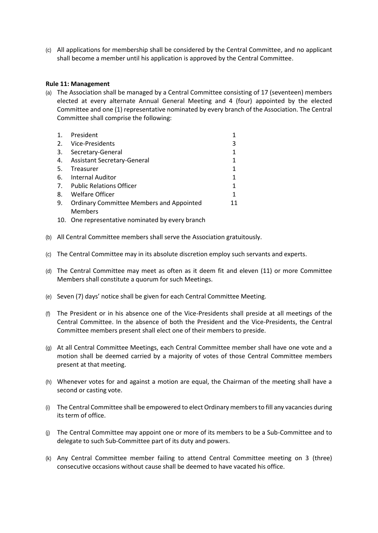(c) All applications for membership shall be considered by the Central Committee, and no applicant shall become a member until his application is approved by the Central Committee.

## **Rule 11: Management**

(a) The Association shall be managed by a Central Committee consisting of 17 (seventeen) members elected at every alternate Annual General Meeting and 4 (four) appointed by the elected Committee and one (1) representative nominated by every branch of the Association. The Central Committee shall comprise the following:

| 1. | President                                       |    |
|----|-------------------------------------------------|----|
| 2. | Vice-Presidents                                 | 3  |
| 3. | Secretary-General                               | 1  |
| 4. | <b>Assistant Secretary-General</b>              | 1  |
| 5. | Treasurer                                       | 1  |
| 6. | Internal Auditor                                | 1  |
|    | 7. Public Relations Officer                     | 1  |
| 8. | Welfare Officer                                 | 1  |
| 9. | <b>Ordinary Committee Members and Appointed</b> | 11 |
|    | <b>Members</b>                                  |    |

- 10. One representative nominated by every branch
- (b) All Central Committee members shall serve the Association gratuitously.
- (c) The Central Committee may in its absolute discretion employ such servants and experts.
- (d) The Central Committee may meet as often as it deem fit and eleven (11) or more Committee Members shall constitute a quorum for such Meetings.
- (e) Seven (7) days' notice shall be given for each Central Committee Meeting.
- (f) The President or in his absence one of the Vice-Presidents shall preside at all meetings of the Central Committee. In the absence of both the President and the Vice-Presidents, the Central Committee members present shall elect one of their members to preside.
- (g) At all Central Committee Meetings, each Central Committee member shall have one vote and a motion shall be deemed carried by a majority of votes of those Central Committee members present at that meeting.
- (h) Whenever votes for and against a motion are equal, the Chairman of the meeting shall have a second or casting vote.
- (i) The Central Committee shall be empowered to elect Ordinary members to fill any vacancies during its term of office.
- (j) The Central Committee may appoint one or more of its members to be a Sub-Committee and to delegate to such Sub-Committee part of its duty and powers.
- (k) Any Central Committee member failing to attend Central Committee meeting on 3 (three) consecutive occasions without cause shall be deemed to have vacated his office.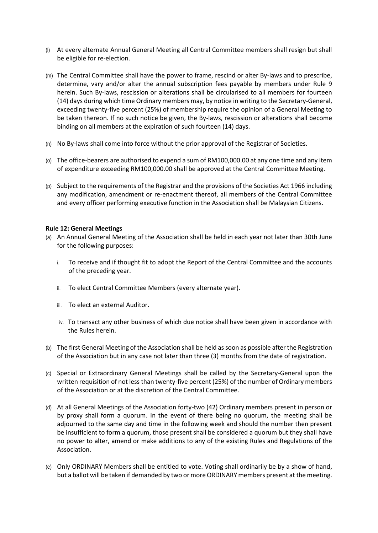- (l) At every alternate Annual General Meeting all Central Committee members shall resign but shall be eligible for re-election.
- (m) The Central Committee shall have the power to frame, rescind or alter By-laws and to prescribe, determine, vary and/or alter the annual subscription fees payable by members under Rule 9 herein. Such By-laws, rescission or alterations shall be circularised to all members for fourteen (14) days during which time Ordinary members may, by notice in writing to the Secretary-General, exceeding twenty-five percent (25%) of membership require the opinion of a General Meeting to be taken thereon. If no such notice be given, the By-laws, rescission or alterations shall become binding on all members at the expiration of such fourteen (14) days.
- (n) No By-laws shall come into force without the prior approval of the Registrar of Societies.
- (o) The office-bearers are authorised to expend a sum of RM100,000.00 at any one time and any item of expenditure exceeding RM100,000.00 shall be approved at the Central Committee Meeting.
- (p) Subject to the requirements of the Registrar and the provisions of the Societies Act 1966 including any modification, amendment or re-enactment thereof, all members of the Central Committee and every officer performing executive function in the Association shall be Malaysian Citizens.

# **Rule 12: General Meetings**

- (a) An Annual General Meeting of the Association shall be held in each year not later than 30th June for the following purposes:
	- i. To receive and if thought fit to adopt the Report of the Central Committee and the accounts of the preceding year.
	- ii. To elect Central Committee Members (every alternate year).
	- iii. To elect an external Auditor.
	- iv. To transact any other business of which due notice shall have been given in accordance with the Rules herein.
- (b) The first General Meeting of the Association shall be held as soon as possible after the Registration of the Association but in any case not later than three (3) months from the date of registration.
- (c) Special or Extraordinary General Meetings shall be called by the Secretary-General upon the written requisition of not less than twenty-five percent (25%) of the number of Ordinary members of the Association or at the discretion of the Central Committee.
- (d) At all General Meetings of the Association forty-two (42) Ordinary members present in person or by proxy shall form a quorum. In the event of there being no quorum, the meeting shall be adjourned to the same day and time in the following week and should the number then present be insufficient to form a quorum, those present shall be considered a quorum but they shall have no power to alter, amend or make additions to any of the existing Rules and Regulations of the Association.
- (e) Only ORDINARY Members shall be entitled to vote. Voting shall ordinarily be by a show of hand, but a ballot will be taken if demanded by two or more ORDINARY members present at the meeting.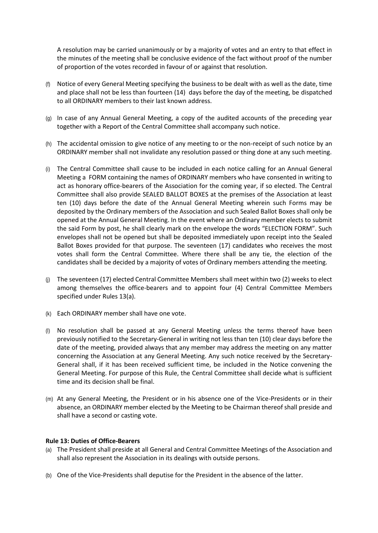A resolution may be carried unanimously or by a majority of votes and an entry to that effect in the minutes of the meeting shall be conclusive evidence of the fact without proof of the number of proportion of the votes recorded in favour of or against that resolution.

- (f) Notice of every General Meeting specifying the business to be dealt with as well as the date, time and place shall not be less than fourteen (14) days before the day of the meeting, be dispatched to all ORDINARY members to their last known address.
- (g) In case of any Annual General Meeting, a copy of the audited accounts of the preceding year together with a Report of the Central Committee shall accompany such notice.
- (h) The accidental omission to give notice of any meeting to or the non-receipt of such notice by an ORDINARY member shall not invalidate any resolution passed or thing done at any such meeting.
- (i) The Central Committee shall cause to be included in each notice calling for an Annual General Meeting a FORM containing the names of ORDINARY members who have consented in writing to act as honorary office-bearers of the Association for the coming year, if so elected. The Central Committee shall also provide SEALED BALLOT BOXES at the premises of the Association at least ten (10) days before the date of the Annual General Meeting wherein such Forms may be deposited by the Ordinary members of the Association and such Sealed Ballot Boxes shall only be opened at the Annual General Meeting. In the event where an Ordinary member elects to submit the said Form by post, he shall clearly mark on the envelope the words "ELECTION FORM". Such envelopes shall not be opened but shall be deposited immediately upon receipt into the Sealed Ballot Boxes provided for that purpose. The seventeen (17) candidates who receives the most votes shall form the Central Committee. Where there shall be any tie, the election of the candidates shall be decided by a majority of votes of Ordinary members attending the meeting.
- (j) The seventeen (17) elected Central Committee Members shall meet within two (2) weeks to elect among themselves the office-bearers and to appoint four (4) Central Committee Members specified under Rules 13(a).
- (k) Each ORDINARY member shall have one vote.
- (l) No resolution shall be passed at any General Meeting unless the terms thereof have been previously notified to the Secretary-General in writing not less than ten (10) clear days before the date of the meeting, provided always that any member may address the meeting on any matter concerning the Association at any General Meeting. Any such notice received by the Secretary-General shall, if it has been received sufficient time, be included in the Notice convening the General Meeting. For purpose of this Rule, the Central Committee shall decide what is sufficient time and its decision shall be final.
- (m) At any General Meeting, the President or in his absence one of the Vice-Presidents or in their absence, an ORDINARY member elected by the Meeting to be Chairman thereof shall preside and shall have a second or casting vote.

# **Rule 13: Duties of Office-Bearers**

- (a) The President shall preside at all General and Central Committee Meetings of the Association and shall also represent the Association in its dealings with outside persons.
- (b) One of the Vice-Presidents shall deputise for the President in the absence of the latter.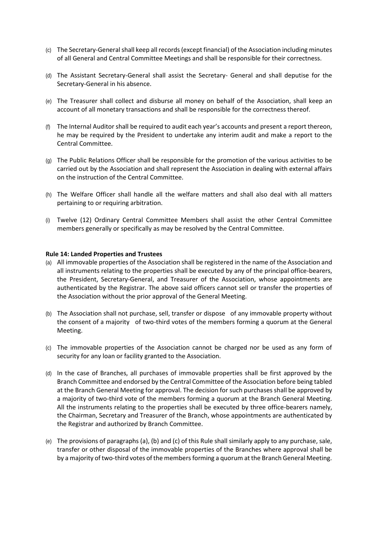- (c) The Secretary-General shall keep all records (except financial) of the Association including minutes of all General and Central Committee Meetings and shall be responsible for their correctness.
- (d) The Assistant Secretary-General shall assist the Secretary- General and shall deputise for the Secretary-General in his absence.
- (e) The Treasurer shall collect and disburse all money on behalf of the Association, shall keep an account of all monetary transactions and shall be responsible for the correctness thereof.
- (f) The Internal Auditor shall be required to audit each year's accounts and present a report thereon, he may be required by the President to undertake any interim audit and make a report to the Central Committee.
- (g) The Public Relations Officer shall be responsible for the promotion of the various activities to be carried out by the Association and shall represent the Association in dealing with external affairs on the instruction of the Central Committee.
- (h) The Welfare Officer shall handle all the welfare matters and shall also deal with all matters pertaining to or requiring arbitration.
- (i) Twelve (12) Ordinary Central Committee Members shall assist the other Central Committee members generally or specifically as may be resolved by the Central Committee.

# **Rule 14: Landed Properties and Trustees**

- (a) All immovable properties of the Association shall be registered in the name of the Association and all instruments relating to the properties shall be executed by any of the principal office-bearers, the President, Secretary-General, and Treasurer of the Association, whose appointments are authenticated by the Registrar. The above said officers cannot sell or transfer the properties of the Association without the prior approval of the General Meeting.
- (b) The Association shall not purchase, sell, transfer or dispose of any immovable property without the consent of a majority of two-third votes of the members forming a quorum at the General Meeting.
- (c) The immovable properties of the Association cannot be charged nor be used as any form of security for any loan or facility granted to the Association.
- (d) In the case of Branches, all purchases of immovable properties shall be first approved by the Branch Committee and endorsed by the Central Committee of the Association before being tabled at the Branch General Meeting for approval. The decision for such purchases shall be approved by a majority of two-third vote of the members forming a quorum at the Branch General Meeting. All the instruments relating to the properties shall be executed by three office-bearers namely, the Chairman, Secretary and Treasurer of the Branch, whose appointments are authenticated by the Registrar and authorized by Branch Committee.
- (e) The provisions of paragraphs (a), (b) and (c) of this Rule shall similarly apply to any purchase, sale, transfer or other disposal of the immovable properties of the Branches where approval shall be by a majority of two-third votes of the members forming a quorum at the Branch General Meeting.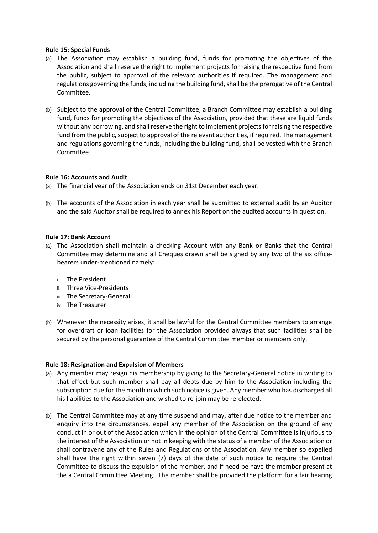## **Rule 15: Special Funds**

- (a) The Association may establish a building fund, funds for promoting the objectives of the Association and shall reserve the right to implement projects for raising the respective fund from the public, subject to approval of the relevant authorities if required. The management and regulations governing the funds, including the building fund, shall be the prerogative of the Central Committee.
- (b) Subject to the approval of the Central Committee, a Branch Committee may establish a building fund, funds for promoting the objectives of the Association, provided that these are liquid funds without any borrowing, and shall reserve the right to implement projects for raising the respective fund from the public, subject to approval of the relevant authorities, if required. The management and regulations governing the funds, including the building fund, shall be vested with the Branch Committee.

# **Rule 16: Accounts and Audit**

(a) The financial year of the Association ends on 31st December each year.

(b) The accounts of the Association in each year shall be submitted to external audit by an Auditor and the said Auditor shall be required to annex his Report on the audited accounts in question.

## **Rule 17: Bank Account**

- (a) The Association shall maintain a checking Account with any Bank or Banks that the Central Committee may determine and all Cheques drawn shall be signed by any two of the six officebearers under-mentioned namely:
	- i. The President
	- ii. Three Vice-Presidents
	- iii. The Secretary-General
	- iv. The Treasurer
- (b) Whenever the necessity arises, it shall be lawful for the Central Committee members to arrange for overdraft or loan facilities for the Association provided always that such facilities shall be secured by the personal guarantee of the Central Committee member or members only.

# **Rule 18: Resignation and Expulsion of Members**

- (a) Any member may resign his membership by giving to the Secretary-General notice in writing to that effect but such member shall pay all debts due by him to the Association including the subscription due for the month in which such notice is given. Any member who has discharged all his liabilities to the Association and wished to re-join may be re-elected.
- (b) The Central Committee may at any time suspend and may, after due notice to the member and enquiry into the circumstances, expel any member of the Association on the ground of any conduct in or out of the Association which in the opinion of the Central Committee is injurious to the interest of the Association or not in keeping with the status of a member of the Association or shall contravene any of the Rules and Regulations of the Association. Any member so expelled shall have the right within seven (7) days of the date of such notice to require the Central Committee to discuss the expulsion of the member, and if need be have the member present at the a Central Committee Meeting. The member shall be provided the platform for a fair hearing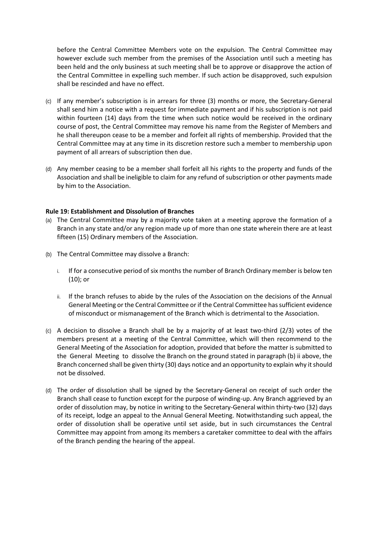before the Central Committee Members vote on the expulsion. The Central Committee may however exclude such member from the premises of the Association until such a meeting has been held and the only business at such meeting shall be to approve or disapprove the action of the Central Committee in expelling such member. If such action be disapproved, such expulsion shall be rescinded and have no effect.

- (c) If any member's subscription is in arrears for three (3) months or more, the Secretary-General shall send him a notice with a request for immediate payment and if his subscription is not paid within fourteen (14) days from the time when such notice would be received in the ordinary course of post, the Central Committee may remove his name from the Register of Members and he shall thereupon cease to be a member and forfeit all rights of membership. Provided that the Central Committee may at any time in its discretion restore such a member to membership upon payment of all arrears of subscription then due.
- (d) Any member ceasing to be a member shall forfeit all his rights to the property and funds of the Association and shall be ineligible to claim for any refund of subscription or other payments made by him to the Association.

#### **Rule 19: Establishment and Dissolution of Branches**

- (a) The Central Committee may by a majority vote taken at a meeting approve the formation of a Branch in any state and/or any region made up of more than one state wherein there are at least fifteen (15) Ordinary members of the Association.
- (b) The Central Committee may dissolve a Branch:
	- i. If for a consecutive period of six months the number of Branch Ordinary member is below ten (10); or
	- ii. If the branch refuses to abide by the rules of the Association on the decisions of the Annual General Meeting or the Central Committee or if the Central Committee has sufficient evidence of misconduct or mismanagement of the Branch which is detrimental to the Association.
- (c) A decision to dissolve a Branch shall be by a majority of at least two-third (2/3) votes of the members present at a meeting of the Central Committee, which will then recommend to the General Meeting of the Association for adoption, provided that before the matter is submitted to the General Meeting to dissolve the Branch on the ground stated in paragraph (b) ii above, the Branch concerned shall be given thirty (30) days notice and an opportunity to explain why it should not be dissolved.
- (d) The order of dissolution shall be signed by the Secretary-General on receipt of such order the Branch shall cease to function except for the purpose of winding-up. Any Branch aggrieved by an order of dissolution may, by notice in writing to the Secretary-General within thirty-two (32) days of its receipt, lodge an appeal to the Annual General Meeting. Notwithstanding such appeal, the order of dissolution shall be operative until set aside, but in such circumstances the Central Committee may appoint from among its members a caretaker committee to deal with the affairs of the Branch pending the hearing of the appeal.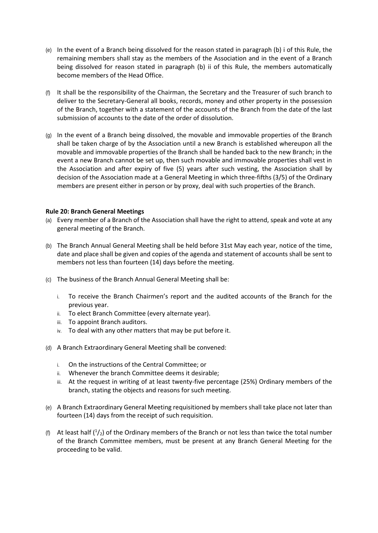- (e) In the event of a Branch being dissolved for the reason stated in paragraph (b) i of this Rule, the remaining members shall stay as the members of the Association and in the event of a Branch being dissolved for reason stated in paragraph (b) ii of this Rule, the members automatically become members of the Head Office.
- (f) It shall be the responsibility of the Chairman, the Secretary and the Treasurer of such branch to deliver to the Secretary-General all books, records, money and other property in the possession of the Branch, together with a statement of the accounts of the Branch from the date of the last submission of accounts to the date of the order of dissolution.
- (g) In the event of a Branch being dissolved, the movable and immovable properties of the Branch shall be taken charge of by the Association until a new Branch is established whereupon all the movable and immovable properties of the Branch shall be handed back to the new Branch; in the event a new Branch cannot be set up, then such movable and immovable properties shall vest in the Association and after expiry of five (5) years after such vesting, the Association shall by decision of the Association made at a General Meeting in which three-fifths (3/5) of the Ordinary members are present either in person or by proxy, deal with such properties of the Branch.

# **Rule 20: Branch General Meetings**

- (a) Every member of a Branch of the Association shall have the right to attend, speak and vote at any general meeting of the Branch.
- (b) The Branch Annual General Meeting shall be held before 31st May each year, notice of the time, date and place shall be given and copies of the agenda and statement of accounts shall be sent to members not less than fourteen (14) days before the meeting.
- (c) The business of the Branch Annual General Meeting shall be:
	- i. To receive the Branch Chairmen's report and the audited accounts of the Branch for the previous year.
	- ii. To elect Branch Committee (every alternate year).
	- iii. To appoint Branch auditors.
	- iv. To deal with any other matters that may be put before it.
- (d) A Branch Extraordinary General Meeting shall be convened:
	- i. On the instructions of the Central Committee; or
	- ii. Whenever the branch Committee deems it desirable;
	- iii. At the request in writing of at least twenty-five percentage (25%) Ordinary members of the branch, stating the objects and reasons for such meeting.
- (e) A Branch Extraordinary General Meeting requisitioned by members shall take place not later than fourteen (14) days from the receipt of such requisition.
- (f) At least half  $(1/2)$  of the Ordinary members of the Branch or not less than twice the total number of the Branch Committee members, must be present at any Branch General Meeting for the proceeding to be valid.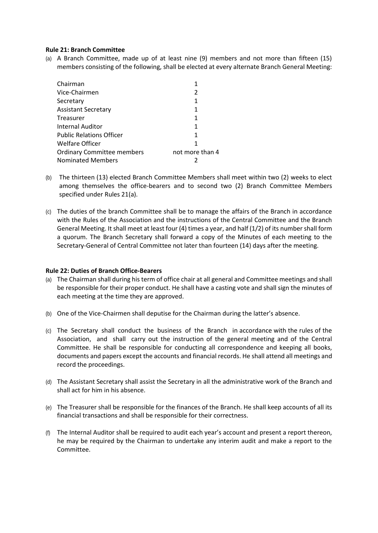# **Rule 21: Branch Committee**

(a) A Branch Committee, made up of at least nine (9) members and not more than fifteen (15) members consisting of the following, shall be elected at every alternate Branch General Meeting:

| Chairman                          |                 |
|-----------------------------------|-----------------|
| Vice-Chairmen                     | 2               |
| Secretary                         | 1               |
| <b>Assistant Secretary</b>        | 1               |
| Treasurer                         | 1               |
| Internal Auditor                  | 1               |
| <b>Public Relations Officer</b>   | 1               |
| Welfare Officer                   | 1               |
| <b>Ordinary Committee members</b> | not more than 4 |
| <b>Nominated Members</b>          |                 |

- (b) The thirteen (13) elected Branch Committee Members shall meet within two (2) weeks to elect among themselves the office-bearers and to second two (2) Branch Committee Members specified under Rules 21(a).
- (c) The duties of the branch Committee shall be to manage the affairs of the Branch in accordance with the Rules of the Association and the instructions of the Central Committee and the Branch General Meeting. It shall meet at least four (4) times a year, and half (1/2) of its number shall form a quorum. The Branch Secretary shall forward a copy of the Minutes of each meeting to the Secretary-General of Central Committee not later than fourteen (14) days after the meeting.

# **Rule 22: Duties of Branch Office-Bearers**

- (a) The Chairman shall during his term of office chair at all general and Committee meetings and shall be responsible for their proper conduct. He shall have a casting vote and shall sign the minutes of each meeting at the time they are approved.
- (b) One of the Vice-Chairmen shall deputise for the Chairman during the latter's absence.
- (c) The Secretary shall conduct the business of the Branch in accordance with the rules of the Association, and shall carry out the instruction of the general meeting and of the Central Committee. He shall be responsible for conducting all correspondence and keeping all books, documents and papers except the accounts and financial records. He shall attend all meetings and record the proceedings.
- (d) The Assistant Secretary shall assist the Secretary in all the administrative work of the Branch and shall act for him in his absence.
- (e) The Treasurer shall be responsible for the finances of the Branch. He shall keep accounts of all its financial transactions and shall be responsible for their correctness.
- (f) The Internal Auditor shall be required to audit each year's account and present a report thereon, he may be required by the Chairman to undertake any interim audit and make a report to the Committee.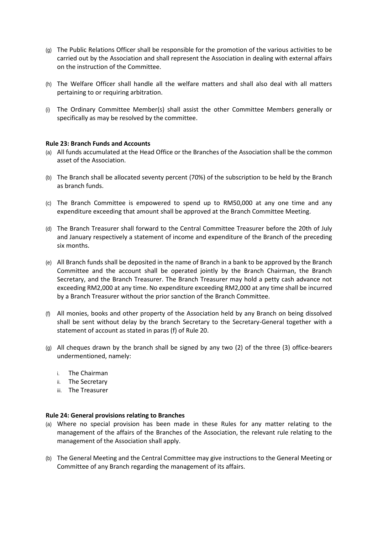- (g) The Public Relations Officer shall be responsible for the promotion of the various activities to be carried out by the Association and shall represent the Association in dealing with external affairs on the instruction of the Committee.
- (h) The Welfare Officer shall handle all the welfare matters and shall also deal with all matters pertaining to or requiring arbitration.
- (i) The Ordinary Committee Member(s) shall assist the other Committee Members generally or specifically as may be resolved by the committee.

#### **Rule 23: Branch Funds and Accounts**

- (a) All funds accumulated at the Head Office or the Branches of the Association shall be the common asset of the Association.
- (b) The Branch shall be allocated seventy percent (70%) of the subscription to be held by the Branch as branch funds.
- (c) The Branch Committee is empowered to spend up to RM50,000 at any one time and any expenditure exceeding that amount shall be approved at the Branch Committee Meeting.
- (d) The Branch Treasurer shall forward to the Central Committee Treasurer before the 20th of July and January respectively a statement of income and expenditure of the Branch of the preceding six months.
- (e) All Branch funds shall be deposited in the name of Branch in a bank to be approved by the Branch Committee and the account shall be operated jointly by the Branch Chairman, the Branch Secretary, and the Branch Treasurer. The Branch Treasurer may hold a petty cash advance not exceeding RM2,000 at any time. No expenditure exceeding RM2,000 at any time shall be incurred by a Branch Treasurer without the prior sanction of the Branch Committee.
- (f) All monies, books and other property of the Association held by any Branch on being dissolved shall be sent without delay by the branch Secretary to the Secretary-General together with a statement of account as stated in paras (f) of Rule 20.
- (g) All cheques drawn by the branch shall be signed by any two (2) of the three (3) office-bearers undermentioned, namely:
	- i. The Chairman
	- ii. The Secretary
	- iii. The Treasurer

#### **Rule 24: General provisions relating to Branches**

- (a) Where no special provision has been made in these Rules for any matter relating to the management of the affairs of the Branches of the Association, the relevant rule relating to the management of the Association shall apply.
- (b) The General Meeting and the Central Committee may give instructions to the General Meeting or Committee of any Branch regarding the management of its affairs.